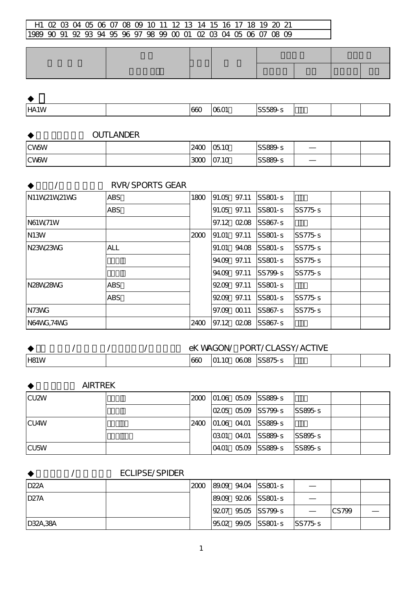| HA <sub>1</sub> W | $\overline{a}$<br>ື<br>___ | ~<br>. | $\sim$<br>____ |  |  |
|-------------------|----------------------------|--------|----------------|--|--|

**OUTLANDER** 

◆エクリプス/スパイダー ECLIPSE/SPIDER

| <b>CW5W</b> | 2400     | 0510  | SS889-s |  |  |
|-------------|----------|-------|---------|--|--|
| <b>CW6W</b> | ാസ<br>ww | 07.10 | SS889-s |  |  |

|                       | <b>RVR/SPORTS GEAR</b> |      |       |       |           |                |  |
|-----------------------|------------------------|------|-------|-------|-----------|----------------|--|
| N11W21W21WG           | <b>ABS</b>             | 1800 | 91.05 | 97.11 | $SS801-S$ |                |  |
|                       | <b>ABS</b>             |      | 91.05 | 97.11 | SS801-s   | SS775-s        |  |
| N61W71W               |                        |      | 97.12 | 0208  | SS867-s   |                |  |
| <b>N13W</b>           |                        | 2000 | 91.O1 | 97.11 | SS801-s   | SS775-s        |  |
| N23W <sub>23</sub> MG | ALL                    |      | 91.01 | 94.08 | SS801-s   | SS775-s        |  |
|                       |                        |      | 94.09 | 97.11 | SS801-s   | <b>SS775-s</b> |  |
|                       |                        |      | 94.09 | 97.11 | SS799-s   | <b>SS775-s</b> |  |
| N28W28MG              | <b>ABS</b>             |      | 9209  | 97.11 | $SS801-S$ |                |  |
|                       | <b>ABS</b>             |      | 9209  | 97.11 | SS801-s   | SS775-s        |  |
| N73MG                 |                        |      | 97.09 | 0011  | SS867-s   | SS775-s        |  |
| N64MG, 74MG           |                        | 2400 | 97.12 | 0208  | SS867-s   |                |  |

# / / / eK WAGON/ PORT/CLASSY/ACTIVE H81W 660 01.10~06.08 SS875-s ドラム

|             | <b>AIRTREK</b> |  |  |                            |  |  |
|-------------|----------------|--|--|----------------------------|--|--|
| <b>CU2W</b> |                |  |  | $ 2000 01.060509 $ SS889-s |  |  |
|             |                |  |  |                            |  |  |

|             |  |       | $ 0205 \t0509 \t $ SS799-s $ $ SS895-s |  |  |
|-------------|--|-------|----------------------------------------|--|--|
| ICU4W       |  |       | $ 2400 01.06 04.01 $ $ SS889s $        |  |  |
|             |  | ന്ദാന | 0401 ISS889-s ISS895-s                 |  |  |
| <b>CU5W</b> |  |       | $ 0401 \t0509 \t SS899-s \tS8995-s$    |  |  |

| D22A     |  |  | 2000 89.09 94.04 SS801-S    |              |  |
|----------|--|--|-----------------------------|--------------|--|
| ID27A    |  |  | 89.09 9206 SS801-S          |              |  |
|          |  |  | 9207 9505 SS799-S           | <b>CS799</b> |  |
| D32A,38A |  |  | 95.02 99.05 SS801-s SS775-s |              |  |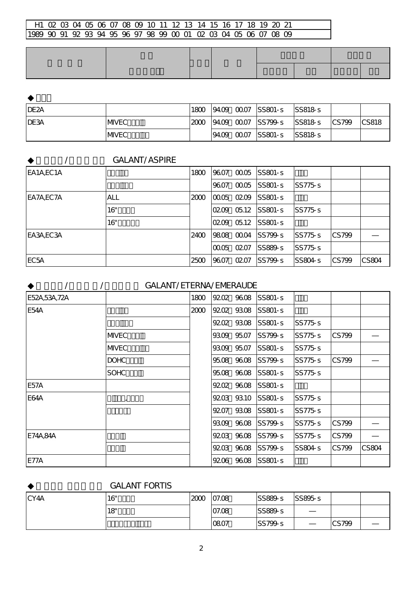| IDE <sub>2A</sub> |             | 1800 |  | $ 9409 \t0007$ $ SS801-s$        | SS818s |                                  |       |
|-------------------|-------------|------|--|----------------------------------|--------|----------------------------------|-------|
| <b>IDE3A</b>      | <b>MVEC</b> | 2000 |  | $ 94.09 \t0007 $ SS799-s SS818-s |        | $\textcolor{red}{\text{CS}}$ 799 | CS818 |
|                   | <b>MVEC</b> |      |  | $ 94.09 \t0007$ SS801-s SS818-s  |        |                                  |       |

# / GALANT/ASPIRE

| EA1A, EC1A        |            | 1800        | 9607 | 00.05      | $ SS801-S$  |                |       |       |
|-------------------|------------|-------------|------|------------|-------------|----------------|-------|-------|
|                   |            |             | 9607 | 0005       | $SS801-S$   | <b>SS775-s</b> |       |       |
| EA7A, EC7A        | <b>ALL</b> | 2000        |      | 00.05 0209 | $SS801-S$   |                |       |       |
|                   | 16"        |             | 0209 | 05.12      | $ SS801-S$  | SS775s         |       |       |
|                   | 16"        |             |      | 0209 05.12 | $SS801-S$   |                |       |       |
| EA3A,EC3A         |            | <b>2400</b> |      | 9808 0004  | $SS799 - S$ | SS775s         | CS799 |       |
|                   |            |             | ഥാനം | 0207       | SS889s      | SS775s         |       |       |
| EC <sub>5</sub> A |            | 2500        | 9607 | 0207       | SS799-s     | SS804s         | CS799 | CS804 |

# **/ インプロード GALANT/ETERNA/EMERAUDE**

| E52A,53A,72A |              | 1800 |            | 9202 9608   | $SS801-S$           |         |       |       |
|--------------|--------------|------|------------|-------------|---------------------|---------|-------|-------|
| <b>E54A</b>  |              | 2000 |            | 9202 9308   | $SS801-S$           |         |       |       |
|              |              |      |            | 9202 9308   | $SS801-S$           | SS775-s |       |       |
|              | <b>MVEC</b>  |      | 9309 9507  |             | SS799-s             | SS775-s | CS799 |       |
|              | <b>MVEC</b>  |      | 9309 95.07 |             | SS801-s             | SS775-s |       |       |
|              | <b>DOHC</b>  |      |            |             | 95.08 96.08 SS799-S | SS775s  | CS799 |       |
|              | <b>SOHC</b>  |      |            | 95.08 96.08 | $SS801-S$           | SS775-s |       |       |
| <b>E57A</b>  |              |      |            | 9202 9608   | $ SS801-S$          |         |       |       |
| E64A         | $\mathbf{I}$ |      |            | 9203 9310   | $SS801-S$           | SS775-s |       |       |
|              |              |      | 9207       | 9308        | $SS801-S$           | SS775-s |       |       |
|              |              |      |            | 9309 9608   | SS799s              | SS775-s | CS799 |       |
| E74A,84A     |              |      |            | 9203 9608   | $SS799 - S$         | SS775-s | CS799 |       |
|              |              |      |            | 9203 9608   | $ SS799-s $         | SS804-s | CS799 | CS804 |
| <b>E77A</b>  |              |      |            | 9206 9608   | SS801-s             |         |       |       |

# **GALANT FORTIS**

| CY <sub>4</sub> A | 16" | 2000 | 07.08 | SS889-s | SS895s |       |  |
|-------------------|-----|------|-------|---------|--------|-------|--|
|                   | 18" |      | 07.08 | SS889-s |        |       |  |
|                   |     |      | 0807  | SS799-s |        | CS799 |  |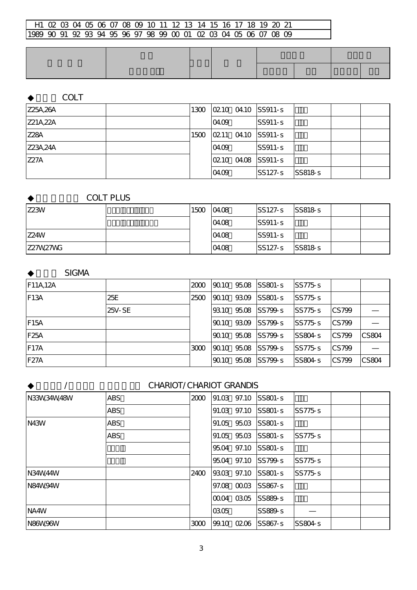# **COLT**

| Z25A,26A | 1300 | $[0210 \t0410 \t05911-s]$     |             |        |  |
|----------|------|-------------------------------|-------------|--------|--|
| Z21A,22A |      | 04.09                         | $SS91-S$    |        |  |
| Z28A     | 1500 | $[0211 \t0410 \t\t  SS911-s]$ |             |        |  |
| Z23A,24A |      | 04.09                         | $ SS91-S$   |        |  |
| IZ27A    |      | 0210 0408 SS911-S             |             |        |  |
|          |      | 04.09                         | $ SS127-S $ | SS818s |  |

# COLT PLUS

| Z23W            | 1500 | 04.08 | $ SS127-S $ | SS818s |  |
|-----------------|------|-------|-------------|--------|--|
|                 |      | 04.08 | $SS91-S$    |        |  |
| <b>Z24W</b>     |      | 04.08 | $ SS91-S$   |        |  |
| <b>Z27W27MG</b> |      | 04.08 | $ SS127-S $ | SS818s |  |

#### **SIGMA**

| F11A,12A           |            | 2000 |        | 90.10 95.08 SS801-S | SS775s         |                                    |       |
|--------------------|------------|------|--------|---------------------|----------------|------------------------------------|-------|
| IF <sub>13</sub> A | 25E        | 2500 | ⊦90.10 | 9309 ISS801-s       | <b>SS775-s</b> |                                    |       |
|                    | $25V - SE$ |      |        | 9310 9508 SS799-S   | SS775s         | CS799                              |       |
| IF <sub>15</sub> A |            |      |        | 9010 9309 SS799-S   | SS775s         | $\textcolor{red}{\text{ICS}}$ 799  |       |
| F <sub>25</sub> A  |            |      |        | 90.10 95.08 SS799-S | SS804s         | $\textcolor{red}{\text{CS}}$ 799   | CS804 |
| <b>F17A</b>        |            | 3000 |        | 90.10 95.08 SS799-S | SS775s         | $\textcolor{red}{\text{CS}}$ 799   |       |
| F27A               |            |      | 9010   | 9508 ISS799-S       | SS804s         | $\textcolor{red}{\mathsf{CS}}$ 799 | CS804 |

# ◆シャリオ/シャリオ グランディス CHARIOT/CHARIOT GRANDIS

| N33W34W48W  | <b>ABS</b> | 2000 | 91.03 | 97.10       | $SS801-S$      |         |  |
|-------------|------------|------|-------|-------------|----------------|---------|--|
|             | <b>ABS</b> |      | 91.03 | 97.10       | SS801-s        | SS775-s |  |
| <b>N43W</b> | <b>ABS</b> |      |       | 91.05 95.03 | $SS801-S$      |         |  |
|             | <b>ABS</b> |      | 91.05 | 95.03       | SS801-s        | SS775-s |  |
|             |            |      | 9504  | 97.10       | $SS801-S$      |         |  |
|             |            |      |       | 9504 97.10  | $SS799 - S$    | SS775-s |  |
| N34W44W     |            | 2400 | 9303  | 97.10       | SS801-s        | SS775-s |  |
| N84W, 94W   |            |      |       | 97.08 00.03 | SS867-s        |         |  |
|             |            |      | 0004  | 0305        | SS889-s        |         |  |
| NA4W        |            |      | 0305  |             | SS889-s        |         |  |
| N86W96W     |            | 3000 | 99.10 | 0206        | <b>SS867-S</b> | SS804-s |  |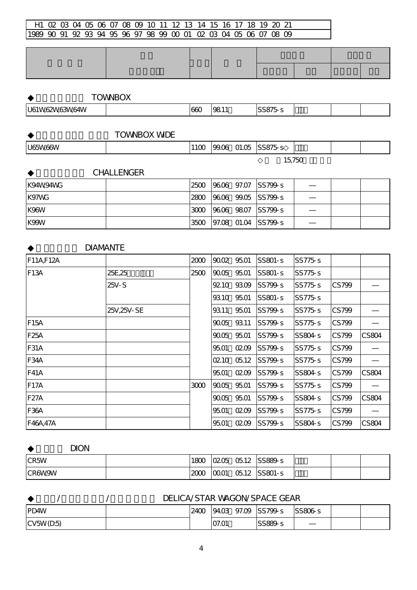# **TOWNBOX**

| <b>U61V</b><br>'64W<br>:3/V/<br><b>ANIE</b><br>ww<br>___ | $\infty$ | $\cdots$<br>$\mathbf{z}$<br>____ |  |  |
|----------------------------------------------------------|----------|----------------------------------|--|--|

# **TOWNBOX WIDE**

| U65 <sub>N/6</sub><br>W66W | 110C | 99.06 | 01.05 | SS875s |                          |  |
|----------------------------|------|-------|-------|--------|--------------------------|--|
|                            |      |       |       |        | <b>IR 750</b><br>19, 190 |  |

### **CHALLENGER**

| K94W94WG     | 2500 9606 97.07 SS799-S        |  |  |
|--------------|--------------------------------|--|--|
| K97MG        | 2800 9606 99.05 SS799-S        |  |  |
| <b>IK96W</b> | 3000 9606 9807 SS799-S         |  |  |
| <b>IK99W</b> | $ 3500 $ 97.08 01.04 $ SS799s$ |  |  |

# **DIAMANTE**

| F11A,F12A         |               | 2000 | 9002  | 95.01 | $SS801-S$ | SS775-s |                                  |       |
|-------------------|---------------|------|-------|-------|-----------|---------|----------------------------------|-------|
| F <sub>13</sub> A | 25E,25        | 2500 | 9005  | 9501  | $SS801-S$ | SS775-s |                                  |       |
|                   | $25V-S$       |      | 9210  | 9309  | SS799-s   | SS775-s | $\textcolor{red}{\text{CS}}$ 799 |       |
|                   |               |      | 9310  | 95.01 | SS801-s   | SS775-s |                                  |       |
|                   | 25V, 25V - SE |      | 9311  | 9501  | SS799-s   | SS775-s | CS799                            |       |
| IF15A             |               |      | 9005  | 9311  | SS799-s   | SS775-s | CS799                            |       |
| <b>F25A</b>       |               |      | 9005  | 9501  | SS799-s   | SS804-s | CS799                            | CS804 |
| F31A              |               |      | 95.01 | 0209  | SS799-s   | SS775-s | CS799                            |       |
| F <sub>34</sub> A |               |      | 0210  | 0512  | SS799-s   | SS775-s | CS799                            |       |
| <b>F41A</b>       |               |      | 95.01 | 0209  | SS799-s   | SS804-s | CS799                            | CS804 |
| <b>F17A</b>       |               | 3000 | 9005  | 95.01 | SS799-s   | SS775-s | CS799                            |       |
| <b>F27A</b>       |               |      | 9005  | 95.01 | SS799-s   | SS804-s | CS799                            | CS804 |
| F <sub>36</sub> A |               |      | 9501  | 0209  | SS799-s   | SS775-s | CS799                            |       |
| F46A,47A          |               |      | 9501  | 0209  | SS799-s   | SS804-s | CS799                            | CS804 |

#### **DION**

| <b>CR5W</b>   | 1800 |      | $ 0205 \t0512 $ SS889-s |  |  |
|---------------|------|------|-------------------------|--|--|
| <b>CR6W9W</b> | 2000 | 0001 | 05.12 SS801-s           |  |  |

|              | DELICA/STAR WAGON/SPACE GEAR |                                       |       |  |         |  |  |  |
|--------------|------------------------------|---------------------------------------|-------|--|---------|--|--|--|
| <b>IPD4W</b> |                              | 94.03 97.09 SS799-S<br>24OC<br>SS806s |       |  |         |  |  |  |
| CV5W(D:5)    |                              |                                       | O7.01 |  | SS889-S |  |  |  |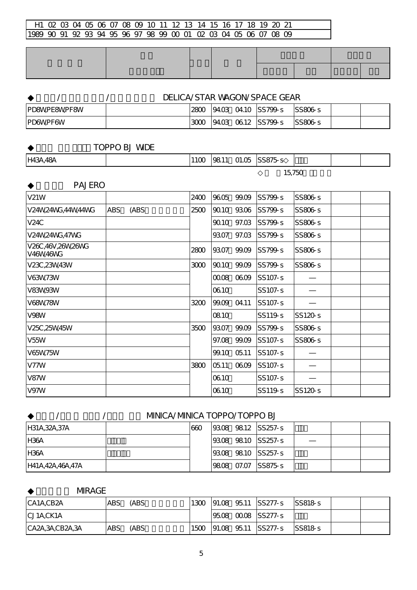|                     | DELICA/STAR WAGON/SPACE GEAR |                                         |  |  |                     |        |  |  |  |
|---------------------|------------------------------|-----------------------------------------|--|--|---------------------|--------|--|--|--|
| <b>PD8WPE8WPF8W</b> |                              | 19403 0410 ISS799-S<br>2800<br>ISS806-s |  |  |                     |        |  |  |  |
| IPD6WPF6W           |                              | 3000                                    |  |  | 94.03 06.12 SS799-S | SS806s |  |  |  |

TOPPO BJ WIDE

| H43A,48A | 11 <sub>m</sub><br>ں ا | 9811 | 01.05 | SS875s |  |  |
|----------|------------------------|------|-------|--------|--|--|
|          |                        |      |       | 15,750 |  |  |

**PAJERO** 

| V21W                          |            |      | 2400 | 9605  | 99.09     | SS799-s            | SS806-s |  |
|-------------------------------|------------|------|------|-------|-----------|--------------------|---------|--|
| V24W,24WG,44W,44WG            | <b>ABS</b> | (ABS | 2500 | 9010  | 9306      | SS799-s            | SS806s  |  |
| V24C                          |            |      |      | 9010  | 97.03     | SS799-s            | SS806-s |  |
| V24W24WG,47WG                 |            |      |      | 9307  | 97.03     | SS799-s            | SS806-s |  |
| V26C,46V,26W,26WG<br>V46W46MG |            |      | 2800 | 9307  | 99.09     | SS799-s            | SS806-s |  |
| V23C,23W43W                   |            |      | 3000 | 9010  | 99.09     | SS799-s            | SS806s  |  |
| V63W73W                       |            |      |      |       | 0008 0609 | SS107-s            |         |  |
| <b>V83W93W</b>                |            |      |      | 0610  |           | SS107-s            |         |  |
| <b>V68N78W</b>                |            |      | 3200 | 99.09 | 04.11     | SS107-s            |         |  |
| V <sub>98</sub> W             |            |      |      | 0810  |           | SS119 <sub>s</sub> | SS120-s |  |
| V25C,25W45W                   |            |      | 3500 | 9307  | 99.09     | SS799-s            | SS806s  |  |
| V <sub>55</sub> W             |            |      |      | 97.08 | 99.09     | SS107-s            | SS806-s |  |
| <b>V65W75W</b>                |            |      |      | 99.10 | 05.11     | SS107-s            |         |  |
| <b>V77W</b>                   |            |      | 3800 | 05.11 | 0609      | SS107-s            |         |  |
| <b>V87W</b>                   |            |      |      | 0610  |           | SS107-s            |         |  |
| <b>V97W</b>                   |            |      |      | 0610  |           | SS119-s            | SS120-s |  |

#### /  $\sqrt{ }$  MNICA/MNICA TOPPO/TOPPO BJ

| H31A, 32A, 37A   | 660 |  | 9308 9812 SS257-S  |  |  |
|------------------|-----|--|--------------------|--|--|
| IH36A            |     |  | 9308 9810 SS257-S  |  |  |
| IH36A            |     |  | 9308 9810 SS257-S  |  |  |
| H41A,42A,46A,47A |     |  | 9808 07.07 SS875-S |  |  |

**MRAGE** 

| CA1A,CB2A          | <b>ABS</b> | (ABS | 1300 |  | $ 91.08$ 9511 $ SS277-s $ | <b>SS818-s</b>  |  |
|--------------------|------------|------|------|--|---------------------------|-----------------|--|
| CJ1A,CK1A          |            |      |      |  | 9508 0008 SS277-S         |                 |  |
| CA2A, 3A, CB2A, 3A | <b>ABS</b> | (ABS | 1500 |  | $ 91.08$ 9511 SS277-S     | <b>ISS818-s</b> |  |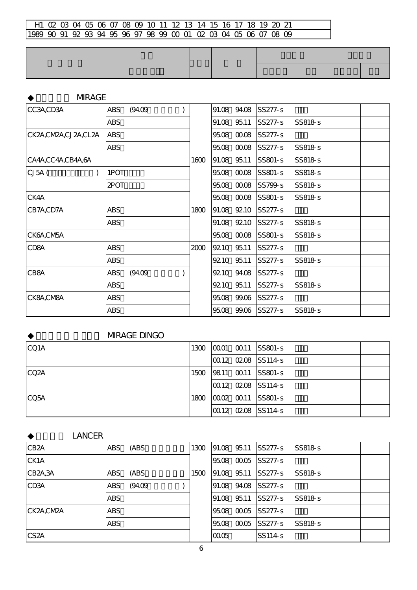# **MRAGE**  $CC3A, CD3A$   $ABS (94.09)$   $91.0894.08$  SS277-s ABS 95.11 SS277-s SS818-s  $CK2A, CN2A, CL2A$   $ABS$   $\qquad \qquad$  95.08  $\Box$  95.277-s ABS 95.08  $\alpha$ 08 SS277-s SS818-s CA4A,CC4A,CB4A,6A 2000 91.08 95.11 SS801-s SS818-s  $CJ5A$  ( $\overline{O}$ ) 1POT  $\overline{O}$  95.08  $\overline{O}$  95.08  $\overline{O}$  SS801-s SS818-s 2POTキャリパ 95.08~00.08 SS799-s SS818-s CK4A 95.08~00.08 SS801-s SS818-s CB7A,CD7A | ABS | 1800 | 91.08 92.10 | SS277-s ABS 99.08 92.10 SS277-s SS818-s CK6A,CM5A 95.08~00.08 SS801-s SS818-s  $CD8A$   $ABS$   $200\,9210\,95.11$   $SS277-s$ ABS付 92.10~95.11 SS277-s SS818-s  $CB8A$  ABS  $(94.09)$  92.10  $94.08$  SS277-s ABS 92.10 95.11 SS277-s SS818-s  $CK8A, CNB4$   $ABS$   $95.08~99.06$   $SS277-s$ ABS 95.08 99.06 SS277-s SS818-s

# **MRAGE DINGO**

| CQ1A              |      |  | $1300$ $ 0001$ $0011$ $ $ SS801-s |  |  |
|-------------------|------|--|-----------------------------------|--|--|
|                   |      |  | 00.12 0208 SS114-s                |  |  |
| CQ <sub>2</sub> A | 1500 |  | 98.11 00.11 SS801-s               |  |  |
|                   |      |  | $ 0012 \t0208 \t  S5114 \t s$     |  |  |
| CQ5A              | 1800 |  | $ 0002 \t0011 $ SS801-s           |  |  |
|                   |      |  | 00.12 0208 SS114-s                |  |  |

#### LANCER

| CB <sub>2</sub> A                 | <b>ABS</b> | (ABS    | 1300 |       |             | $91.08$ $9511$ $ SS277-s $ | SS88s  |  |
|-----------------------------------|------------|---------|------|-------|-------------|----------------------------|--------|--|
| CK <sub>1</sub> A                 |            |         |      |       | 95.08 00.05 | $SS277-s$                  |        |  |
| CB <sub>2</sub> A <sub>,3</sub> A | <b>ABS</b> | (ABS    | 1500 |       | 91.08 95.11 | $SS277-s$                  | SS818s |  |
| CD <sub>3</sub> A                 | <b>ABS</b> | (94.09) |      | 91.08 | 94.08       | $SS277-s$                  |        |  |
|                                   | <b>ABS</b> |         |      |       | 91.08 95.11 | $SS277-s$                  | SS818s |  |
| CK2A,CM2A                         | <b>ABS</b> |         |      |       |             | 95.08 00.05 SS277-S        |        |  |
|                                   | <b>ABS</b> |         |      |       | 95.08 00.05 | $ SS277-s $                | SS818s |  |
| CS <sub>2</sub> A                 |            |         |      | 0005  |             | SS114s                     |        |  |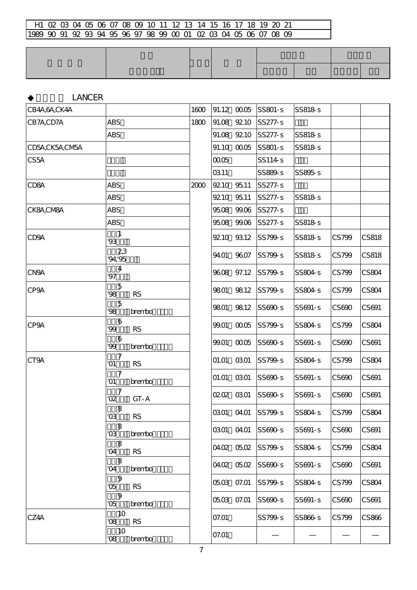|  | <b>LANCER</b> |
|--|---------------|
|--|---------------|

| CB4A, 6A, CK4A    |                                    | 1600 |           | 91.12 0005  | $SS801-S$           | <b>SS818-s</b> |       |              |
|-------------------|------------------------------------|------|-----------|-------------|---------------------|----------------|-------|--------------|
| CB7A,CD7A         | <b>ABS</b>                         | 1800 |           | 91.08 9210  | SS277-s             |                |       |              |
|                   | <b>ABS</b>                         |      |           | 91.08 9210  | SS277-s             | SS818-s        |       |              |
| CD5A, CK5A, CM5A  |                                    |      |           | 91.10 0005  | $ SS801-S$          | <b>SS818-s</b> |       |              |
| CS <sub>5</sub> A |                                    |      | 0005      |             | SS114-s             |                |       |              |
|                   |                                    |      | 0311      |             | SS889-s             | SS895-s        |       |              |
| CD <sub>8</sub> A | <b>ABS</b>                         | 2000 | 9210 9511 |             | SS277-s             |                |       |              |
|                   | <b>ABS</b>                         |      |           | 9210 9511   | SS277-s             | <b>SS818-s</b> |       |              |
| CK8A,CMBA         | <b>ABS</b>                         |      |           | 9508 99.06  | SS277-s             |                |       |              |
|                   | <b>ABS</b>                         |      |           | 9508 99.06  | SS277-s             | SS818-s        |       |              |
| CD <sub>9</sub> A | $\mathbf{1}$<br>'93                |      |           | 9210 9312   | SS799-s             | SS818-s        | CS799 | <b>CS818</b> |
|                   | 23<br>94, 95                       |      | 94.01     | 9607        | SS799s              | SS818-s        | CS799 | <b>CS818</b> |
| CN <sub>9</sub> A | $\overline{4}$<br>'97              |      |           | 9608 97.12  | SS799-s             | SS804-s        | CS799 | CS804        |
| CP <sub>9</sub> A | 5<br><b>RS</b><br>98               |      | 9801      | 9812        | SS799s              | SS804-s        | CS799 | CS804        |
|                   | 5<br>98<br>brembo                  |      | 9801      | 9812        | SS690s              | SS691-s        | CS690 | CS691        |
| CP <sub>9</sub> A | 6<br>'99<br><b>RS</b>              |      | 99.01     | 0005        | $SS799 - s$         | SS804-s        | CS799 | CS804        |
|                   | 6<br>'99<br>brembo                 |      | 99.01     | 0005        | SS690-s             | SS691-s        | CS690 | CS691        |
| CT <sub>9</sub> A | $\overline{7}$<br><b>RS</b><br>'O1 |      | 01.01     | 0301        | SS799-s             | SS804-s        | CS799 | CS804        |
|                   | $\overline{7}$<br>'Ol<br>brembo    |      | 01.01     | 0301        | SS690-s             | SS691-s        | CS690 | CS691        |
|                   | $\overline{7}$<br>GT-A<br>$\infty$ |      | 0202 0301 |             | SS690-s             | SS691-s        | CS690 | CS691        |
|                   | 8<br><b>RS</b><br>'Œ               |      |           | 0301 0401   | $SS799 - S$         | SS804s         | CS799 | CS804        |
|                   | 8<br>'Œ<br>brembo                  |      |           | 0301 0401   | SS690-s             | $SS691-S$      | CS690 | CS691        |
|                   | 8<br>'04<br><b>RS</b>              |      |           |             | 04.02 05.02 SS799-S | SS804-s        | CS799 | CS804        |
|                   | 8<br>brembo<br>O4                  |      |           |             | 04.02 05.02 SS690-S | SS691-s        | CS690 | CS691        |
|                   | 9<br>'О5<br><b>RS</b>              |      |           | 05.03 07.01 | SS799-s             | SS804-s        | CS799 | CS804        |
|                   | 9<br>'Œ<br>brembo                  |      |           | 05.03 07.01 | SS690-s             | SS691-s        | CS690 | CS691        |
| CZ4A              | 10<br><b>RS</b><br>œ               |      | O7.01     |             | SS799-s             | SS866-s        | CS799 | CS866        |
|                   | 10<br>brembo<br>œ                  |      | O7.01     |             |                     |                |       |              |